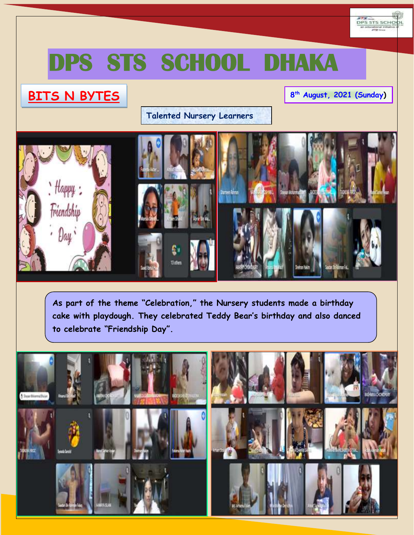

# **S STS SCHOOL DHAKA**

## **BITS N BYTES**

### **8 th August, 2021 (Sunday)**

## **Talented Nursery Learners**



**As part of the theme "Celebration," the Nursery students made a birthday cake with playdough. They celebrated Teddy Bear's birthday and also danced to celebrate "Friendship Day".**

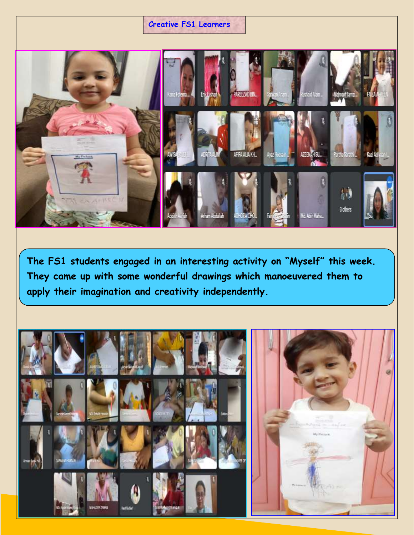### **Creative FS1 Learners**



**The FS1 students engaged in an interesting activity on "Myself" this week. They came up with some wonderful drawings which manoeuvered them to apply their imagination and creativity independently.**

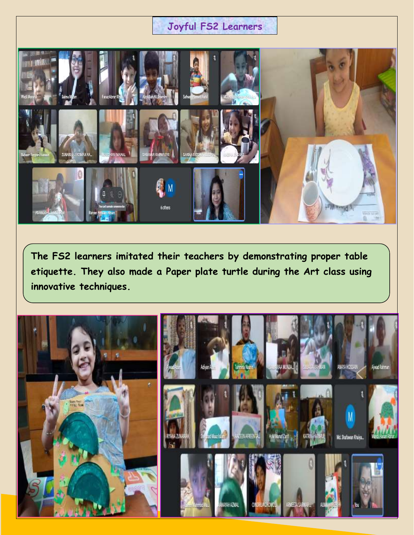## **Joyful FS2 Learners**



**The FS2 learners imitated their teachers by demonstrating proper table etiquette. They also made a Paper plate turtle during the Art class using innovative techniques.**

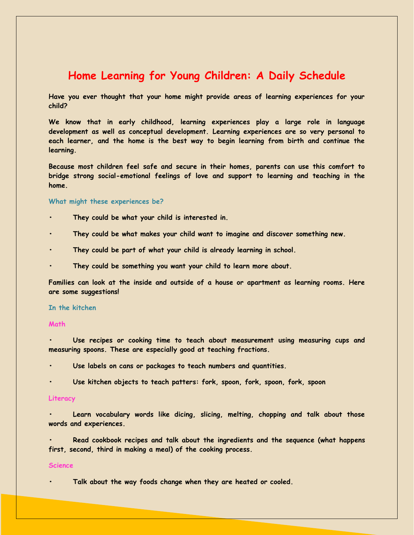## **Home Learning for Young Children: A Daily Schedule**

**Have you ever thought that your home might provide areas of learning experiences for your child?**

**We know that in early childhood, learning experiences play a large role in language development as well as conceptual development. Learning experiences are so very personal to each learner, and the home is the best way to begin learning from birth and continue the learning.**

**Because most children feel safe and secure in their homes, parents can use this comfort to bridge strong social-emotional feelings of love and support to learning and teaching in the home.**

#### **What might these experiences be?**

- **• They could be what your child is interested in.**
- **• They could be what makes your child want to imagine and discover something new.**
- **• They could be part of what your child is already learning in school.**
- **• They could be something you want your child to learn more about.**

**Families can look at the inside and outside of a house or apartment as learning rooms. Here are some suggestions!**

#### **In the kitchen**

#### **Math**

**• Use recipes or cooking time to teach about measurement using measuring cups and measuring spoons. These are especially good at teaching fractions.**

- **• Use labels on cans or packages to teach numbers and quantities.**
- **• Use kitchen objects to teach patters: fork, spoon, fork, spoon, fork, spoon**

#### **Literacy**

**• Learn vocabulary words like dicing, slicing, melting, chopping and talk about those words and experiences.**

**• Read cookbook recipes and talk about the ingredients and the sequence (what happens first, second, third in making a meal) of the cooking process.**

#### **Science**

**• Talk about the way foods change when they are heated or cooled.**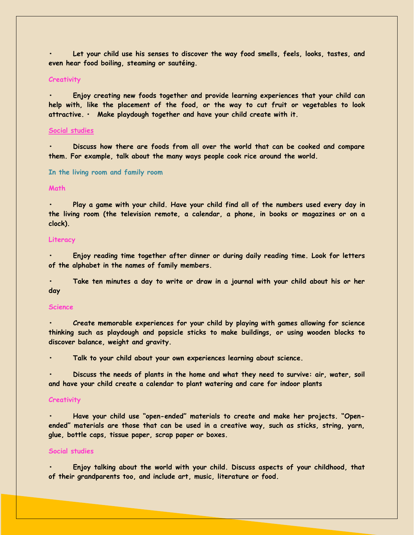**• Let your child use his senses to discover the way food smells, feels, looks, tastes, and even hear food boiling, steaming or sautéing.**

#### **Creativity**

**• Enjoy creating new foods together and provide learning experiences that your child can help with, like the placement of the food, or the way to cut fruit or vegetables to look attractive. • Make playdough together and have your child create with it.**

#### **Social studies**

**• Discuss how there are foods from all over the world that can be cooked and compare them. For example, talk about the many ways people cook rice around the world.**

#### **In the living room and family room**

#### **Math**

**• Play a game with your child. Have your child find all of the numbers used every day in the living room (the television remote, a calendar, a phone, in books or magazines or on a clock).**

#### **Literacy**

**• Enjoy reading time together after dinner or during daily reading time. Look for letters of the alphabet in the names of family members.**

**• Take ten minutes a day to write or draw in a journal with your child about his or her day**

#### **Science**

**• Create memorable experiences for your child by playing with games allowing for science thinking such as playdough and popsicle sticks to make buildings, or using wooden blocks to discover balance, weight and gravity.**

**• Talk to your child about your own experiences learning about science.**

**• Discuss the needs of plants in the home and what they need to survive: air, water, soil and have your child create a calendar to plant watering and care for indoor plants**

#### **Creativity**

**• Have your child use "open-ended" materials to create and make her projects. "Openended" materials are those that can be used in a creative way, such as sticks, string, yarn, glue, bottle caps, tissue paper, scrap paper or boxes.**

#### **Social studies**

**• Enjoy talking about the world with your child. Discuss aspects of your childhood, that of their grandparents too, and include art, music, literature or food.**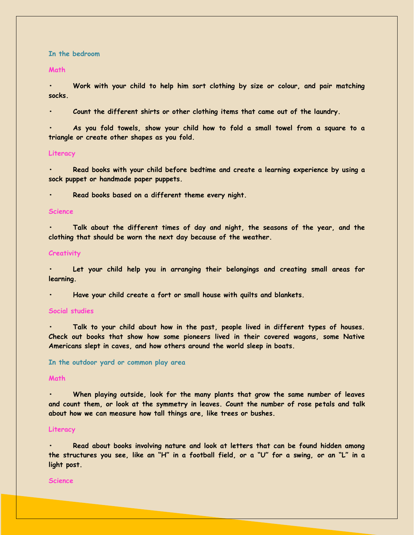**In the bedroom**

**Math**

**• Work with your child to help him sort clothing by size or colour, and pair matching socks.**

**• Count the different shirts or other clothing items that came out of the laundry.**

**• As you fold towels, show your child how to fold a small towel from a square to a triangle or create other shapes as you fold.**

#### **Literacy**

**• Read books with your child before bedtime and create a learning experience by using a sock puppet or handmade paper puppets.**

**• Read books based on a different theme every night.**

#### **Science**

**• Talk about the different times of day and night, the seasons of the year, and the clothing that should be worn the next day because of the weather.**

#### **Creativity**

**• Let your child help you in arranging their belongings and creating small areas for learning.**

**• Have your child create a fort or small house with quilts and blankets.**

#### **Social studies**

**• Talk to your child about how in the past, people lived in different types of houses. Check out books that show how some pioneers lived in their covered wagons, some Native Americans slept in caves, and how others around the world sleep in boats.**

**In the outdoor yard or common play area**

#### **Math**

**• When playing outside, look for the many plants that grow the same number of leaves and count them, or look at the symmetry in leaves. Count the number of rose petals and talk about how we can measure how tall things are, like trees or bushes.**

#### **Literacy**

**• Read about books involving nature and look at letters that can be found hidden among the structures you see, like an "H" in a football field, or a "U" for a swing, or an "L" in a light post.**

#### **Science**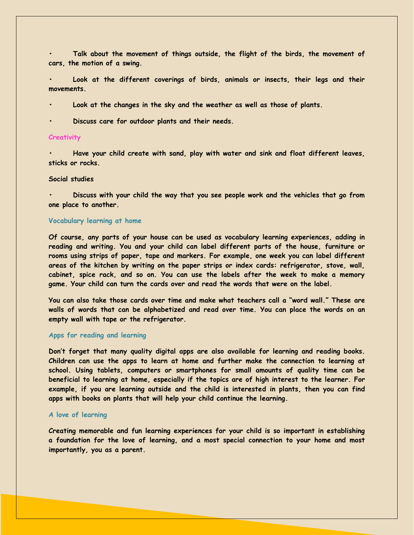**• Talk about the movement of things outside, the flight of the birds, the movement of cars, the motion of a swing.**

**• Look at the different coverings of birds, animals or insects, their legs and their movements.**

**• Look at the changes in the sky and the weather as well as those of plants.**

**• Discuss care for outdoor plants and their needs.**

#### **Creativity**

**• Have your child create with sand, play with water and sink and float different leaves, sticks or rocks.**

#### **Social studies**

**• Discuss with your child the way that you see people work and the vehicles that go from one place to another.**

#### **Vocabulary learning at home**

**Of course, any parts of your house can be used as vocabulary learning experiences, adding in reading and writing. You and your child can label different parts of the house, furniture or rooms using strips of paper, tape and markers. For example, one week you can label different areas of the kitchen by writing on the paper strips or index cards: refrigerator, stove, wall, cabinet, spice rack, and so on. You can use the labels after the week to make a memory game. Your child can turn the cards over and read the words that were on the label.**

**You can also take those cards over time and make what teachers call a "word wall." These are walls of words that can be alphabetized and read over time. You can place the words on an empty wall with tape or the refrigerator.**

#### **Apps for reading and learning**

**Don't forget that many quality digital apps are also available for learning and reading books. Children can use the apps to learn at home and further make the connection to learning at school. Using tablets, computers or smartphones for small amounts of quality time can be beneficial to learning at home, especially if the topics are of high interest to the learner. For example, if you are learning outside and the child is interested in plants, then you can find apps with books on plants that will help your child continue the learning.**

#### **A love of learning**

**Creating memorable and fun learning experiences for your child is so important in establishing a foundation for the love of learning, and a most special connection to your home and most importantly, you as a parent.**